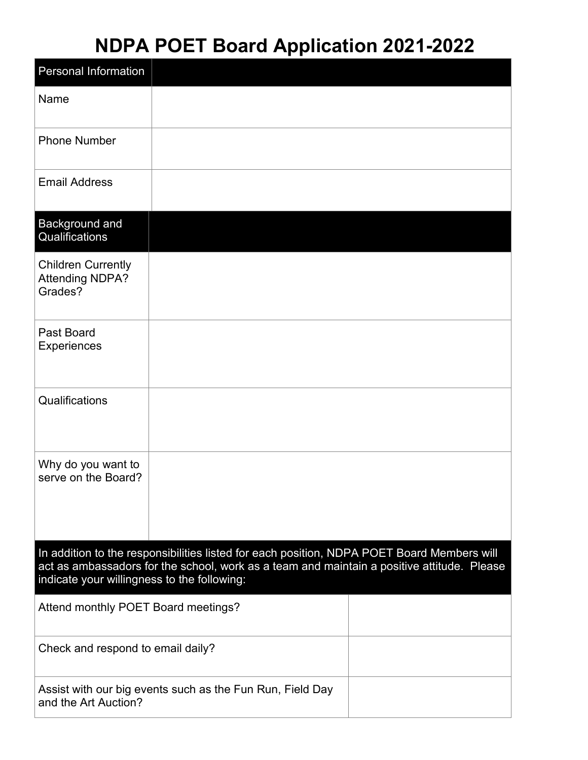## **NDPA POET Board Application 2021-2022**

| <b>Personal Information</b>                                                                                                                                                                                                             |  |  |  |  |
|-----------------------------------------------------------------------------------------------------------------------------------------------------------------------------------------------------------------------------------------|--|--|--|--|
| Name                                                                                                                                                                                                                                    |  |  |  |  |
| <b>Phone Number</b>                                                                                                                                                                                                                     |  |  |  |  |
| <b>Email Address</b>                                                                                                                                                                                                                    |  |  |  |  |
| Background and<br>Qualifications                                                                                                                                                                                                        |  |  |  |  |
| <b>Children Currently</b><br><b>Attending NDPA?</b><br>Grades?                                                                                                                                                                          |  |  |  |  |
| Past Board<br>Experiences                                                                                                                                                                                                               |  |  |  |  |
| Qualifications                                                                                                                                                                                                                          |  |  |  |  |
| Why do you want to<br>serve on the Board?                                                                                                                                                                                               |  |  |  |  |
| In addition to the responsibilities listed for each position, NDPA POET Board Members will<br>act as ambassadors for the school, work as a team and maintain a positive attitude. Please<br>indicate your willingness to the following: |  |  |  |  |
| Attend monthly POET Board meetings?                                                                                                                                                                                                     |  |  |  |  |
| Check and respond to email daily?                                                                                                                                                                                                       |  |  |  |  |
| Assist with our big events such as the Fun Run, Field Day<br>and the Art Auction?                                                                                                                                                       |  |  |  |  |